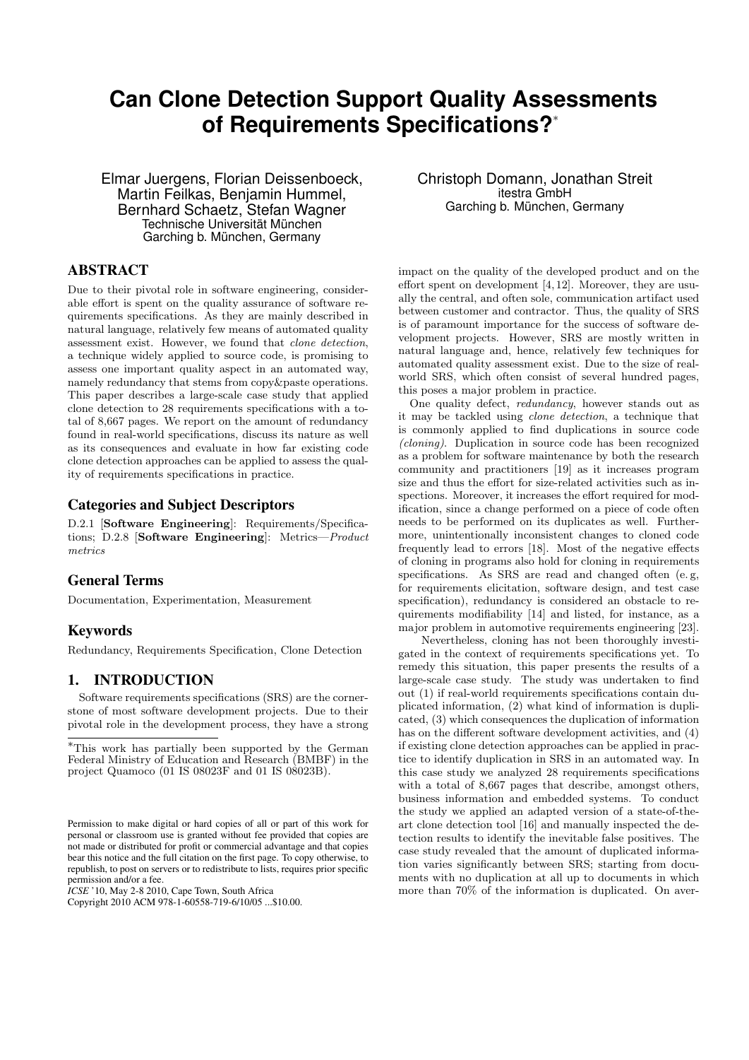# **Can Clone Detection Support Quality Assessments of Requirements Specifications?**<sup>∗</sup>

Elmar Juergens, Florian Deissenboeck, Martin Feilkas, Benjamin Hummel, Bernhard Schaetz, Stefan Wagner Technische Universität München Garching b. München, Germany

# ABSTRACT

Due to their pivotal role in software engineering, considerable effort is spent on the quality assurance of software requirements specifications. As they are mainly described in natural language, relatively few means of automated quality assessment exist. However, we found that clone detection, a technique widely applied to source code, is promising to assess one important quality aspect in an automated way, namely redundancy that stems from copy&paste operations. This paper describes a large-scale case study that applied clone detection to 28 requirements specifications with a total of 8,667 pages. We report on the amount of redundancy found in real-world specifications, discuss its nature as well as its consequences and evaluate in how far existing code clone detection approaches can be applied to assess the quality of requirements specifications in practice.

## Categories and Subject Descriptors

D.2.1 [Software Engineering]: Requirements/Specifications; D.2.8 [Software Engineering]: Metrics—Product metrics

# General Terms

Documentation, Experimentation, Measurement

## Keywords

Redundancy, Requirements Specification, Clone Detection

## 1. INTRODUCTION

Software requirements specifications (SRS) are the cornerstone of most software development projects. Due to their pivotal role in the development process, they have a strong

*ICSE* '10, May 2-8 2010, Cape Town, South Africa

Copyright 2010 ACM 978-1-60558-719-6/10/05 ...\$10.00.

Christoph Domann, Jonathan Streit itestra GmbH Garching b. München, Germany

impact on the quality of the developed product and on the effort spent on development [4, 12]. Moreover, they are usually the central, and often sole, communication artifact used between customer and contractor. Thus, the quality of SRS is of paramount importance for the success of software development projects. However, SRS are mostly written in natural language and, hence, relatively few techniques for automated quality assessment exist. Due to the size of realworld SRS, which often consist of several hundred pages, this poses a major problem in practice.

One quality defect, redundancy, however stands out as it may be tackled using clone detection, a technique that is commonly applied to find duplications in source code (cloning). Duplication in source code has been recognized as a problem for software maintenance by both the research community and practitioners [19] as it increases program size and thus the effort for size-related activities such as inspections. Moreover, it increases the effort required for modification, since a change performed on a piece of code often needs to be performed on its duplicates as well. Furthermore, unintentionally inconsistent changes to cloned code frequently lead to errors [18]. Most of the negative effects of cloning in programs also hold for cloning in requirements specifications. As SRS are read and changed often (e.g, for requirements elicitation, software design, and test case specification), redundancy is considered an obstacle to requirements modifiability [14] and listed, for instance, as a major problem in automotive requirements engineering [23].

Nevertheless, cloning has not been thoroughly investigated in the context of requirements specifications yet. To remedy this situation, this paper presents the results of a large-scale case study. The study was undertaken to find out (1) if real-world requirements specifications contain duplicated information, (2) what kind of information is duplicated, (3) which consequences the duplication of information has on the different software development activities, and  $(4)$ if existing clone detection approaches can be applied in practice to identify duplication in SRS in an automated way. In this case study we analyzed 28 requirements specifications with a total of 8,667 pages that describe, amongst others, business information and embedded systems. To conduct the study we applied an adapted version of a state-of-theart clone detection tool [16] and manually inspected the detection results to identify the inevitable false positives. The case study revealed that the amount of duplicated information varies significantly between SRS; starting from documents with no duplication at all up to documents in which more than 70% of the information is duplicated. On aver-

<sup>∗</sup>This work has partially been supported by the German Federal Ministry of Education and Research (BMBF) in the project Quamoco (01 IS 08023F and 01 IS 08023B).

Permission to make digital or hard copies of all or part of this work for personal or classroom use is granted without fee provided that copies are not made or distributed for profit or commercial advantage and that copies bear this notice and the full citation on the first page. To copy otherwise, to republish, to post on servers or to redistribute to lists, requires prior specific permission and/or a fee.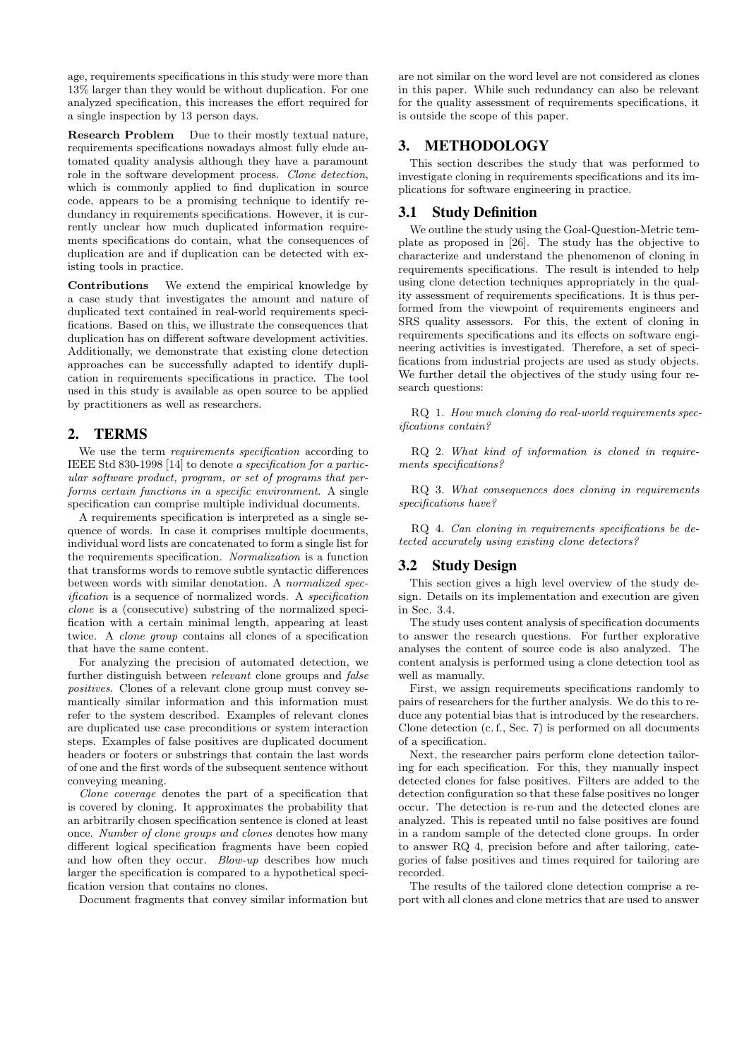age, requirements specifications in this study were more than 13% larger than they would be without duplication. For one analyzed specification, this increases the effort required for a single inspection by 13 person days.

Research Problem Due to their mostly textual nature, requirements specifications nowadays almost fully elude automated quality analysis although they have a paramount role in the software development process. Clone detection, which is commonly applied to find duplication in source code, appears to be a promising technique to identify redundancy in requirements specifications. However, it is currently unclear how much duplicated information requirements specifications do contain, what the consequences of duplication are and if duplication can be detected with existing tools in practice.

Contributions We extend the empirical knowledge by a case study that investigates the amount and nature of duplicated text contained in real-world requirements specifications. Based on this, we illustrate the consequences that duplication has on different software development activities. Additionally, we demonstrate that existing clone detection approaches can be successfully adapted to identify duplication in requirements specifications in practice. The tool used in this study is available as open source to be applied by practitioners as well as researchers.

# 2. TERMS

We use the term *requirements specification* according to IEEE Std 830-1998 [14] to denote a specification for a particular software product, program, or set of programs that performs certain functions in a specific environment. A single specification can comprise multiple individual documents.

A requirements specification is interpreted as a single sequence of words. In case it comprises multiple documents, individual word lists are concatenated to form a single list for the requirements specification. Normalization is a function that transforms words to remove subtle syntactic differences between words with similar denotation. A normalized specification is a sequence of normalized words. A specification clone is a (consecutive) substring of the normalized specification with a certain minimal length, appearing at least twice. A clone group contains all clones of a specification that have the same content.

For analyzing the precision of automated detection, we further distinguish between relevant clone groups and false positives. Clones of a relevant clone group must convey semantically similar information and this information must refer to the system described. Examples of relevant clones are duplicated use case preconditions or system interaction steps. Examples of false positives are duplicated document headers or footers or substrings that contain the last words of one and the first words of the subsequent sentence without conveying meaning.

Clone coverage denotes the part of a specification that is covered by cloning. It approximates the probability that an arbitrarily chosen specification sentence is cloned at least once. Number of clone groups and clones denotes how many different logical specification fragments have been copied and how often they occur. Blow-up describes how much larger the specification is compared to a hypothetical specification version that contains no clones.

Document fragments that convey similar information but

are not similar on the word level are not considered as clones in this paper. While such redundancy can also be relevant for the quality assessment of requirements specifications, it is outside the scope of this paper.

## 3. METHODOLOGY

This section describes the study that was performed to investigate cloning in requirements specifications and its implications for software engineering in practice.

## 3.1 Study Definition

We outline the study using the Goal-Question-Metric template as proposed in [26]. The study has the objective to characterize and understand the phenomenon of cloning in requirements specifications. The result is intended to help using clone detection techniques appropriately in the quality assessment of requirements specifications. It is thus performed from the viewpoint of requirements engineers and SRS quality assessors. For this, the extent of cloning in requirements specifications and its effects on software engineering activities is investigated. Therefore, a set of specifications from industrial projects are used as study objects. We further detail the objectives of the study using four research questions:

RQ 1. How much cloning do real-world requirements specifications contain?

RQ 2. What kind of information is cloned in requirements specifications?

RQ 3. What consequences does cloning in requirements specifications have?

RQ 4. Can cloning in requirements specifications be detected accurately using existing clone detectors?

## 3.2 Study Design

This section gives a high level overview of the study design. Details on its implementation and execution are given in Sec. 3.4.

The study uses content analysis of specification documents to answer the research questions. For further explorative analyses the content of source code is also analyzed. The content analysis is performed using a clone detection tool as well as manually.

First, we assign requirements specifications randomly to pairs of researchers for the further analysis. We do this to reduce any potential bias that is introduced by the researchers. Clone detection (c. f., Sec. 7) is performed on all documents of a specification.

Next, the researcher pairs perform clone detection tailoring for each specification. For this, they manually inspect detected clones for false positives. Filters are added to the detection configuration so that these false positives no longer occur. The detection is re-run and the detected clones are analyzed. This is repeated until no false positives are found in a random sample of the detected clone groups. In order to answer RQ 4, precision before and after tailoring, categories of false positives and times required for tailoring are recorded.

The results of the tailored clone detection comprise a report with all clones and clone metrics that are used to answer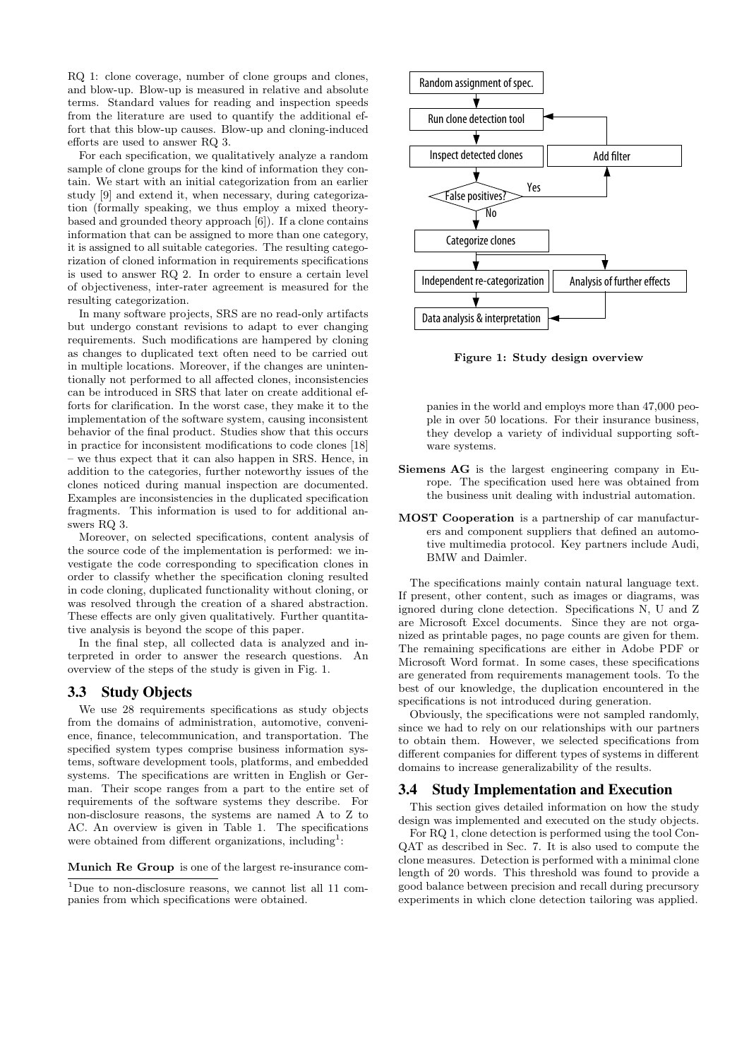RQ 1: clone coverage, number of clone groups and clones, and blow-up. Blow-up is measured in relative and absolute terms. Standard values for reading and inspection speeds from the literature are used to quantify the additional effort that this blow-up causes. Blow-up and cloning-induced efforts are used to answer RQ 3.

For each specification, we qualitatively analyze a random sample of clone groups for the kind of information they contain. We start with an initial categorization from an earlier study [9] and extend it, when necessary, during categorization (formally speaking, we thus employ a mixed theorybased and grounded theory approach [6]). If a clone contains information that can be assigned to more than one category, it is assigned to all suitable categories. The resulting categorization of cloned information in requirements specifications is used to answer RQ 2. In order to ensure a certain level of objectiveness, inter-rater agreement is measured for the resulting categorization.

In many software projects, SRS are no read-only artifacts but undergo constant revisions to adapt to ever changing requirements. Such modifications are hampered by cloning as changes to duplicated text often need to be carried out in multiple locations. Moreover, if the changes are unintentionally not performed to all affected clones, inconsistencies can be introduced in SRS that later on create additional efforts for clarification. In the worst case, they make it to the implementation of the software system, causing inconsistent behavior of the final product. Studies show that this occurs in practice for inconsistent modifications to code clones [18] – we thus expect that it can also happen in SRS. Hence, in addition to the categories, further noteworthy issues of the clones noticed during manual inspection are documented. Examples are inconsistencies in the duplicated specification fragments. This information is used to for additional answers RQ 3.

Moreover, on selected specifications, content analysis of the source code of the implementation is performed: we investigate the code corresponding to specification clones in order to classify whether the specification cloning resulted in code cloning, duplicated functionality without cloning, or was resolved through the creation of a shared abstraction. These effects are only given qualitatively. Further quantitative analysis is beyond the scope of this paper.

In the final step, all collected data is analyzed and interpreted in order to answer the research questions. An overview of the steps of the study is given in Fig. 1.

## 3.3 Study Objects

We use 28 requirements specifications as study objects from the domains of administration, automotive, convenience, finance, telecommunication, and transportation. The specified system types comprise business information systems, software development tools, platforms, and embedded systems. The specifications are written in English or German. Their scope ranges from a part to the entire set of requirements of the software systems they describe. For non-disclosure reasons, the systems are named A to Z to AC. An overview is given in Table 1. The specifications were obtained from different organizations, including<sup>1</sup>:

Munich Re Group is one of the largest re-insurance com-



Figure 1: Study design overview

panies in the world and employs more than 47,000 people in over 50 locations. For their insurance business, they develop a variety of individual supporting software systems.

- Siemens AG is the largest engineering company in Europe. The specification used here was obtained from the business unit dealing with industrial automation.
- MOST Cooperation is a partnership of car manufacturers and component suppliers that defined an automotive multimedia protocol. Key partners include Audi, BMW and Daimler.

The specifications mainly contain natural language text. If present, other content, such as images or diagrams, was ignored during clone detection. Specifications N, U and Z are Microsoft Excel documents. Since they are not organized as printable pages, no page counts are given for them. The remaining specifications are either in Adobe PDF or Microsoft Word format. In some cases, these specifications are generated from requirements management tools. To the best of our knowledge, the duplication encountered in the specifications is not introduced during generation.

Obviously, the specifications were not sampled randomly, since we had to rely on our relationships with our partners to obtain them. However, we selected specifications from different companies for different types of systems in different domains to increase generalizability of the results.

## 3.4 Study Implementation and Execution

This section gives detailed information on how the study design was implemented and executed on the study objects.

For RQ 1, clone detection is performed using the tool Con-QAT as described in Sec. 7. It is also used to compute the clone measures. Detection is performed with a minimal clone length of 20 words. This threshold was found to provide a good balance between precision and recall during precursory experiments in which clone detection tailoring was applied.

<sup>1</sup>Due to non-disclosure reasons, we cannot list all 11 companies from which specifications were obtained.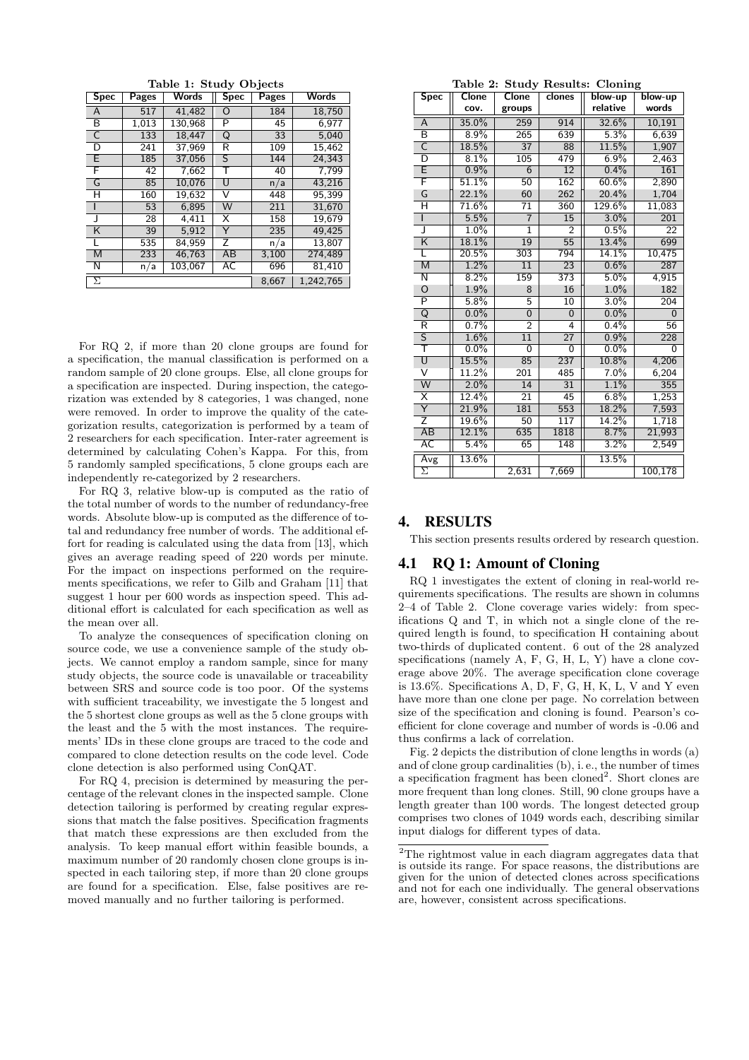| <b>Spec</b> | Pages | Words   | Spec                    | Pages | <b>Words</b> |
|-------------|-------|---------|-------------------------|-------|--------------|
| A           | 517   | 41,482  | O                       | 184   | 18,750       |
| B           | 1,013 | 130,968 | Р                       | 45    | 6.977        |
| C           | 133   | 18.447  | Q                       | 33    | 5.040        |
| D           | 241   | 37.969  | R                       | 109   | 15.462       |
| Ε           | 185   | 37,056  | $\overline{\mathsf{S}}$ | 144   | 24,343       |
| F           | 42    | 7.662   |                         | 40    | 7.799        |
| G           | 85    | 10,076  | U                       | n/a   | 43,216       |
| н           | 160   | 19.632  | v                       | 448   | 95.399       |
|             | 53    | 6,895   | $\overline{\mathsf{W}}$ | 211   | 31,670       |
|             | 28    | 4.411   | x                       | 158   | 19.679       |
| K           | 39    | 5,912   | Y                       | 235   | 49,425       |
| L           | 535   | 84,959  | Z                       | n/a   | 13,807       |
| M           | 233   | 46,763  | $\overline{AB}$         | 3,100 | 274.489      |
| N           | n/a   | 103,067 | AC                      | 696   | 81,410       |
| Σ           |       |         |                         | 8.667 | 1,242,765    |

Table 1: Study Objects

For RQ 2, if more than 20 clone groups are found for a specification, the manual classification is performed on a random sample of 20 clone groups. Else, all clone groups for a specification are inspected. During inspection, the categorization was extended by 8 categories, 1 was changed, none were removed. In order to improve the quality of the categorization results, categorization is performed by a team of 2 researchers for each specification. Inter-rater agreement is determined by calculating Cohen's Kappa. For this, from 5 randomly sampled specifications, 5 clone groups each are independently re-categorized by 2 researchers.

For RQ 3, relative blow-up is computed as the ratio of the total number of words to the number of redundancy-free words. Absolute blow-up is computed as the difference of total and redundancy free number of words. The additional effort for reading is calculated using the data from [13], which gives an average reading speed of 220 words per minute. For the impact on inspections performed on the requirements specifications, we refer to Gilb and Graham [11] that suggest 1 hour per 600 words as inspection speed. This additional effort is calculated for each specification as well as the mean over all.

To analyze the consequences of specification cloning on source code, we use a convenience sample of the study objects. We cannot employ a random sample, since for many study objects, the source code is unavailable or traceability between SRS and source code is too poor. Of the systems with sufficient traceability, we investigate the 5 longest and the 5 shortest clone groups as well as the 5 clone groups with the least and the 5 with the most instances. The requirements' IDs in these clone groups are traced to the code and compared to clone detection results on the code level. Code clone detection is also performed using ConQAT.

For RQ 4, precision is determined by measuring the percentage of the relevant clones in the inspected sample. Clone detection tailoring is performed by creating regular expressions that match the false positives. Specification fragments that match these expressions are then excluded from the analysis. To keep manual effort within feasible bounds, a maximum number of 20 randomly chosen clone groups is inspected in each tailoring step, if more than 20 clone groups are found for a specification. Else, false positives are removed manually and no further tailoring is performed.

 $T_{\rm{L}}$  ble  $\Omega$ : Study Results:  $Cl_{\rm{L}}$ 

| <b>Spec</b>             | rable 4.<br>Clone | otuuy<br>Clone   | results.<br>clones | $_{\rm{C}$ $_{\rm{C}$ $_{\rm{C}$<br>blow-up | blow-up          |
|-------------------------|-------------------|------------------|--------------------|---------------------------------------------|------------------|
|                         | cov.              | groups           |                    | relative                                    | words            |
| A                       | 35.0%             | 259              | 914                | 32.6%                                       | 10,191           |
| $\overline{\mathsf{B}}$ | 8.9%              | 265              | 639                | 5.3%                                        | 6,639            |
| $\overline{\mathsf{C}}$ | 18.5%             | $\overline{37}$  | 88                 | 11.5%                                       | 1,907            |
| D                       | 8.1%              | 105              | 479                | 6.9%                                        | 2,463            |
| E                       | 0.9%              | $\overline{6}$   | $\overline{12}$    | 0.4%                                        | 161              |
| F                       | 51.1%             | 50               | $\overline{162}$   | 60.6%                                       | 2,890            |
| $\overline{\mathsf{G}}$ | 22.1%             | 60               | 262                | 20.4%                                       | 1,704            |
| Η                       | 71.6%             | 71               | 360                | 129.6%                                      | 11,083           |
| ī                       | 5.5%              | $\overline{7}$   | 15                 | 3.0%                                        | $\overline{201}$ |
| J                       | 1.0%              | $\mathbf{1}$     | $\overline{2}$     | 0.5%                                        | $\overline{22}$  |
| K                       | 18.1%             | 19               | 55                 | 13.4%                                       | 699              |
| L                       | 20.5%             | $\overline{303}$ | 794                | 14.1%                                       | 10,475           |
| $\overline{M}$          | 1.2%              | $\overline{11}$  | $\overline{23}$    | 0.6%                                        | 287              |
| N                       | 8.2%              | 159              | 373                | 5.0%                                        | 4,915            |
| $\overline{O}$          | 1.9%              | 8                | 16                 | 1.0%                                        | 182              |
| $\overline{\mathsf{P}}$ | 5.8%              | 5                | 10                 | 3.0%                                        | 204              |
| Q                       | $0.0\%$           | $\overline{0}$   | $\overline{0}$     | $0.0\%$                                     | $\Omega$         |
| $\overline{\mathsf{R}}$ | $0.7\%$           | $\overline{2}$   | 4                  | 0.4%                                        | 56               |
| $\overline{\mathsf{s}}$ | 1.6%              | $\overline{11}$  | $\overline{27}$    | 0.9%                                        | 228              |
| Ŧ                       | $0.0\%$           | 0                | 0                  | $0.0\%$                                     | 0                |
| $\overline{\mathsf{U}}$ | 15.5%             | 85               | 237                | 10.8%                                       | 4,206            |
| $\overline{\vee}$       | 11.2%             | 201              | 485                | 7.0%                                        | 6,204            |
| $\overline{W}$          | 2.0%              | 14               | $\overline{31}$    | 1.1%                                        | 355              |
| $\overline{\mathsf{x}}$ | 12.4%             | 21               | 45                 | 6.8%                                        | 1,253            |
| $\overline{\mathsf{Y}}$ | 21.9%             | 181              | 553                | 18.2%                                       | 7,593            |
| z                       | 19.6%             | 50               | $\overline{117}$   | 14.2%                                       | 1,718            |
| $\overline{AB}$         | 12.1%             | 635              | 1818               | 8.7%                                        | 21,993           |
| АC                      | 5.4%              | 65               | 148                | 3.2%                                        | 2,549            |
| Avg                     | 13.6%             |                  |                    | 13.5%                                       |                  |
| Σ                       |                   | 2,631            | 7,669              |                                             | 100,178          |

## 4. RESULTS

This section presents results ordered by research question.

## 4.1 RQ 1: Amount of Cloning

RQ 1 investigates the extent of cloning in real-world requirements specifications. The results are shown in columns 2–4 of Table 2. Clone coverage varies widely: from specifications Q and T, in which not a single clone of the required length is found, to specification H containing about two-thirds of duplicated content. 6 out of the 28 analyzed specifications (namely A, F, G, H, L, Y) have a clone coverage above 20%. The average specification clone coverage is 13.6%. Specifications A, D, F, G, H, K, L, V and Y even have more than one clone per page. No correlation between size of the specification and cloning is found. Pearson's coefficient for clone coverage and number of words is -0.06 and thus confirms a lack of correlation.

Fig. 2 depicts the distribution of clone lengths in words (a) and of clone group cardinalities (b), i. e., the number of times a specification fragment has been cloned<sup>2</sup>. Short clones are more frequent than long clones. Still, 90 clone groups have a length greater than 100 words. The longest detected group comprises two clones of 1049 words each, describing similar input dialogs for different types of data.

 $^{2}\mathrm{The}$  rightmost value in each diagram aggregates data that is outside its range. For space reasons, the distributions are given for the union of detected clones across specifications and not for each one individually. The general observations are, however, consistent across specifications.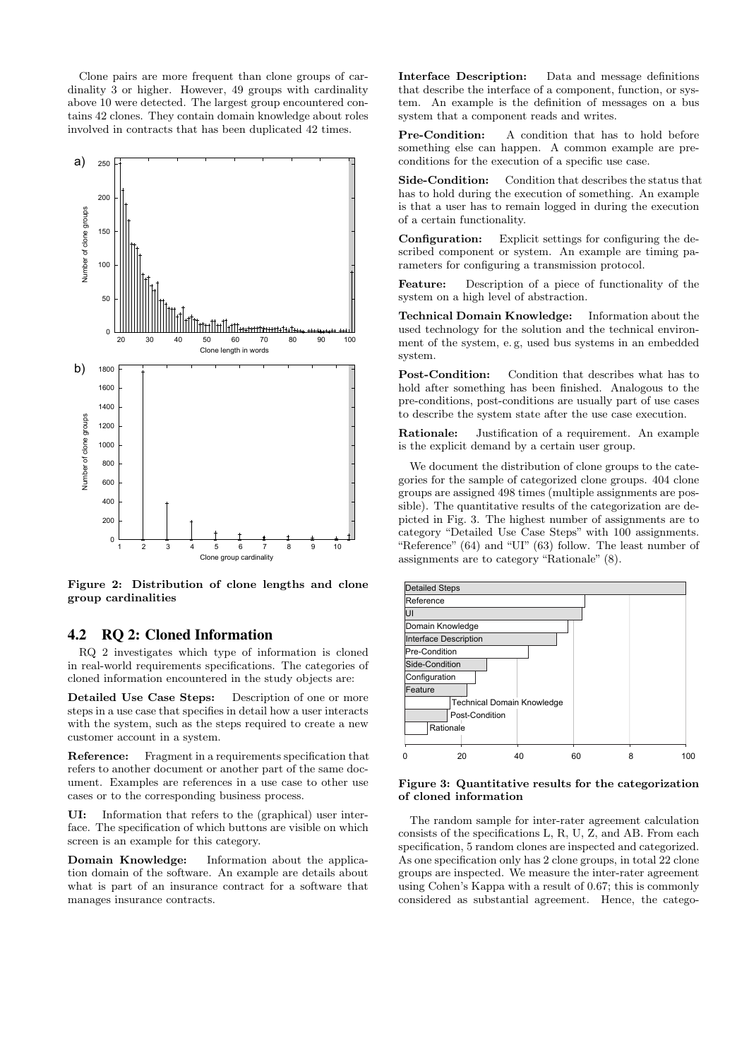Clone pairs are more frequent than clone groups of cardinality 3 or higher. However, 49 groups with cardinality above 10 were detected. The largest group encountered contains 42 clones. They contain domain knowledge about roles involved in contracts that has been duplicated 42 times.



Figure 2: Distribution of clone lengths and clone group cardinalities

# 4.2 RQ 2: Cloned Information

RQ 2 investigates which type of information is cloned in real-world requirements specifications. The categories of cloned information encountered in the study objects are:

Detailed Use Case Steps: Description of one or more steps in a use case that specifies in detail how a user interacts with the system, such as the steps required to create a new customer account in a system.

Reference: Fragment in a requirements specification that refers to another document or another part of the same document. Examples are references in a use case to other use cases or to the corresponding business process.

UI: Information that refers to the (graphical) user interface. The specification of which buttons are visible on which screen is an example for this category.

Domain Knowledge: Information about the application domain of the software. An example are details about what is part of an insurance contract for a software that manages insurance contracts.

Interface Description: Data and message definitions that describe the interface of a component, function, or system. An example is the definition of messages on a bus system that a component reads and writes.

Pre-Condition: A condition that has to hold before something else can happen. A common example are preconditions for the execution of a specific use case.

Side-Condition: Condition that describes the status that has to hold during the execution of something. An example is that a user has to remain logged in during the execution of a certain functionality.

Configuration: Explicit settings for configuring the described component or system. An example are timing parameters for configuring a transmission protocol.

Feature: Description of a piece of functionality of the system on a high level of abstraction.

Technical Domain Knowledge: Information about the used technology for the solution and the technical environment of the system, e. g, used bus systems in an embedded system.

Post-Condition: Condition that describes what has to hold after something has been finished. Analogous to the pre-conditions, post-conditions are usually part of use cases to describe the system state after the use case execution.

Rationale: Justification of a requirement. An example is the explicit demand by a certain user group.

We document the distribution of clone groups to the categories for the sample of categorized clone groups. 404 clone groups are assigned 498 times (multiple assignments are possible). The quantitative results of the categorization are depicted in Fig. 3. The highest number of assignments are to category "Detailed Use Case Steps" with 100 assignments. "Reference" (64) and "UI" (63) follow. The least number of assignments are to category "Rationale" (8).



#### Figure 3: Quantitative results for the categorization of cloned information

The random sample for inter-rater agreement calculation consists of the specifications L, R, U, Z, and AB. From each specification, 5 random clones are inspected and categorized. As one specification only has 2 clone groups, in total 22 clone groups are inspected. We measure the inter-rater agreement using Cohen's Kappa with a result of 0.67; this is commonly considered as substantial agreement. Hence, the catego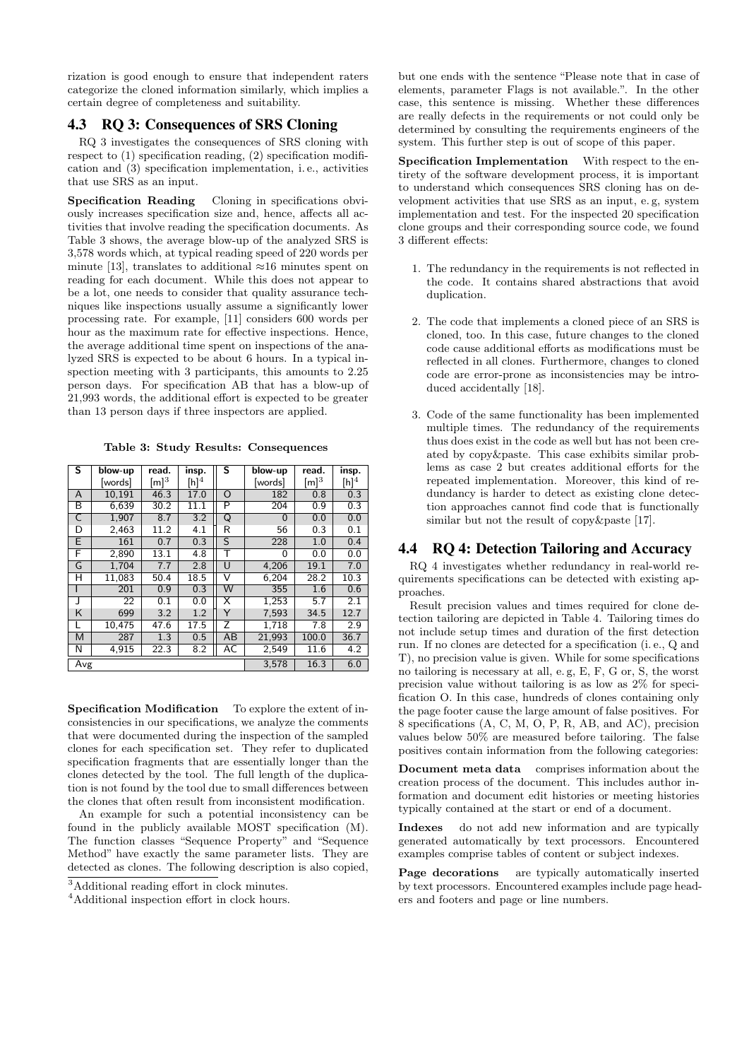rization is good enough to ensure that independent raters categorize the cloned information similarly, which implies a certain degree of completeness and suitability.

## 4.3 RQ 3: Consequences of SRS Cloning

RQ 3 investigates the consequences of SRS cloning with respect to (1) specification reading, (2) specification modification and (3) specification implementation, i. e., activities that use SRS as an input.

Specification Reading Cloning in specifications obviously increases specification size and, hence, affects all activities that involve reading the specification documents. As Table 3 shows, the average blow-up of the analyzed SRS is 3,578 words which, at typical reading speed of 220 words per minute [13], translates to additional  $\approx$ 16 minutes spent on reading for each document. While this does not appear to be a lot, one needs to consider that quality assurance techniques like inspections usually assume a significantly lower processing rate. For example, [11] considers 600 words per hour as the maximum rate for effective inspections. Hence, the average additional time spent on inspections of the analyzed SRS is expected to be about 6 hours. In a typical inspection meeting with 3 participants, this amounts to 2.25 person days. For specification AB that has a blow-up of 21,993 words, the additional effort is expected to be greater than 13 person days if three inspectors are applied.

Table 3: Study Results: Consequences

| s            | blow-up         | read.            | insp.     | s  | blow-up  | read.<br>$\mathsf{[m]^3}$ | insp.            |
|--------------|-----------------|------------------|-----------|----|----------|---------------------------|------------------|
|              | [words]         | $\mathsf{[m]^3}$ | $[h]^{4}$ |    | [words]  |                           | $[h]^{4}$        |
| A            | 10,191          | 46.3             | 17.0      | O  | 182      | 0.8                       | 0.3              |
| B            | 6,639           | 30.2             | 11.1      | P  | 204      | 0.9                       | 0.3              |
| C            | 1,907           | 8.7              | 3.2       | Q  | $\Omega$ | 0.0                       | 0.0              |
| D            | 2,463           | 11.2             | 4.1       | R  | 56       | 0.3                       | 0.1              |
| E            | 161             | 0.7              | 0.3       | S  | 228      | 1.0                       | 0.4              |
| F            | 2,890           | 13.1             | 4.8       | т  | 0        | 0.0                       | 0.0              |
| G            | 1.704           | 7.7              | 2.8       | U  | 4,206    | 19.1                      | 7.0              |
| н            | 11,083          | 50.4             | 18.5      | v  | 6.204    | 28.2                      | 10.3             |
|              | 201             | 0.9              | 0.3       | W  | 355      | 1.6                       | 0.6              |
| $\mathbf{J}$ | $\overline{22}$ | 0.1              | 0.0       | х  | 1,253    | 5.7                       | $\overline{2.1}$ |
| K            | 699             | 3.2              | 1.2       | Y  | 7.593    | 34.5                      | 12.7             |
|              | 10,475          | 47.6             | 17.5      | Z  | 1,718    | 7.8                       | 2.9              |
| M            | 287             | 1.3              | 0.5       | AB | 21,993   | 100.0                     | 36.7             |
| N            | 4.915           | 22.3             | 8.2       | AC | 2.549    | 11.6                      | 4.2              |
| Avg          |                 |                  |           |    | 3,578    | 16.3                      | 6.0              |

Specification Modification To explore the extent of inconsistencies in our specifications, we analyze the comments that were documented during the inspection of the sampled clones for each specification set. They refer to duplicated specification fragments that are essentially longer than the clones detected by the tool. The full length of the duplication is not found by the tool due to small differences between the clones that often result from inconsistent modification.

An example for such a potential inconsistency can be found in the publicly available MOST specification (M). The function classes "Sequence Property" and "Sequence Method" have exactly the same parameter lists. They are detected as clones. The following description is also copied,

but one ends with the sentence "Please note that in case of elements, parameter Flags is not available.". In the other case, this sentence is missing. Whether these differences are really defects in the requirements or not could only be determined by consulting the requirements engineers of the system. This further step is out of scope of this paper.

Specification Implementation With respect to the entirety of the software development process, it is important to understand which consequences SRS cloning has on development activities that use SRS as an input, e. g, system implementation and test. For the inspected 20 specification clone groups and their corresponding source code, we found 3 different effects:

- 1. The redundancy in the requirements is not reflected in the code. It contains shared abstractions that avoid duplication.
- 2. The code that implements a cloned piece of an SRS is cloned, too. In this case, future changes to the cloned code cause additional efforts as modifications must be reflected in all clones. Furthermore, changes to cloned code are error-prone as inconsistencies may be introduced accidentally [18].
- 3. Code of the same functionality has been implemented multiple times. The redundancy of the requirements thus does exist in the code as well but has not been created by copy&paste. This case exhibits similar problems as case 2 but creates additional efforts for the repeated implementation. Moreover, this kind of redundancy is harder to detect as existing clone detection approaches cannot find code that is functionally similar but not the result of copy&paste [17].

## 4.4 RQ 4: Detection Tailoring and Accuracy

RQ 4 investigates whether redundancy in real-world requirements specifications can be detected with existing approaches.

Result precision values and times required for clone detection tailoring are depicted in Table 4. Tailoring times do not include setup times and duration of the first detection run. If no clones are detected for a specification (i. e., Q and T), no precision value is given. While for some specifications no tailoring is necessary at all, e. g, E, F, G or, S, the worst precision value without tailoring is as low as 2% for specification O. In this case, hundreds of clones containing only the page footer cause the large amount of false positives. For 8 specifications (A, C, M, O, P, R, AB, and AC), precision values below 50% are measured before tailoring. The false positives contain information from the following categories:

Document meta data comprises information about the creation process of the document. This includes author information and document edit histories or meeting histories typically contained at the start or end of a document.

Indexes do not add new information and are typically generated automatically by text processors. Encountered examples comprise tables of content or subject indexes.

Page decorations are typically automatically inserted by text processors. Encountered examples include page headers and footers and page or line numbers.

<sup>&</sup>lt;sup>3</sup>Additional reading effort in clock minutes.

<sup>&</sup>lt;sup>4</sup>Additional inspection effort in clock hours.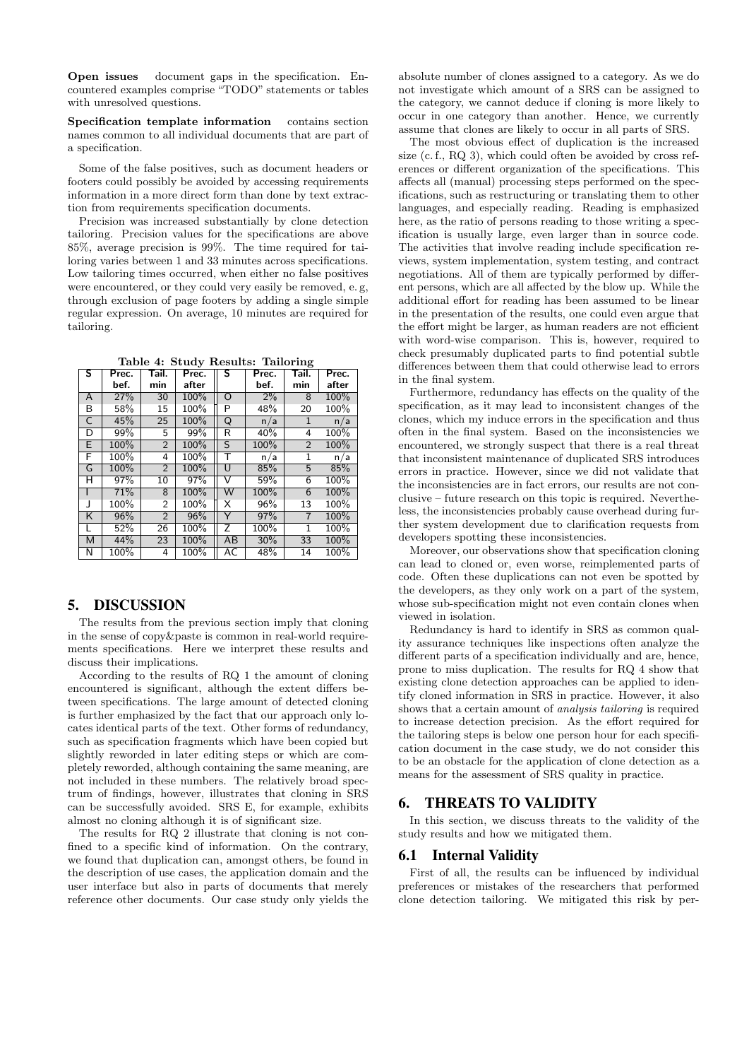Open issues document gaps in the specification. Encountered examples comprise "TODO" statements or tables with unresolved questions.

Specification template information contains section names common to all individual documents that are part of a specification.

Some of the false positives, such as document headers or footers could possibly be avoided by accessing requirements information in a more direct form than done by text extraction from requirements specification documents.

Precision was increased substantially by clone detection tailoring. Precision values for the specifications are above 85%, average precision is 99%. The time required for tailoring varies between 1 and 33 minutes across specifications. Low tailoring times occurred, when either no false positives were encountered, or they could very easily be removed, e. g, through exclusion of page footers by adding a single simple regular expression. On average, 10 minutes are required for tailoring.

Table 4: Study Results: Tailoring

| - ~~~~<br>---- |               |                 |                |    |               |                |                |
|----------------|---------------|-----------------|----------------|----|---------------|----------------|----------------|
| S              | Prec.<br>bef. | Tail.<br>min    | Prec.<br>after | S  | Prec.<br>bef. | Tail.<br>min   | Prec.<br>after |
| A              | 27%           | 30              | 100%           | O  | 2%            | 8              | 100%           |
| B              | 58%           | 15              | 100%           | P  | 48%           | 20             | $100\%$        |
| C              | 45%           | 25              | 100%           | Q  | n/a           | 1              | n/a            |
| D              | 99%           | 5               | 99%            | R  | 40%           | 4              | 100%           |
| E              | 100%          | $\overline{2}$  | 100%           | S  | 100%          | $\overline{2}$ | 100%           |
| F              | 100%          | 4               | 100%           | т  | n/a           | 1              | n/a            |
| G              | 100%          | 2               | 100%           | U  | 85%           | 5              | 85%            |
| н              | 97%           | 10              | 97%            | V  | 59%           | 6              | 100%           |
| ı              | 71%           | 8               | 100%           | W  | 100%          | 6              | 100%           |
| $\mathbf{J}$   | 100%          | 2               | 100%           | Χ  | 96%           | 13             | $100\%$        |
| K              | 96%           | $\overline{2}$  | 96%            | Y  | 97%           | 7              | 100%           |
| L              | 52%           | $\overline{26}$ | 100%           | z  | $100\%$       | 1              | 100%           |
| M              | 44%           | 23              | 100%           | AB | 30%           | 33             | 100%           |
| N              | 100%          | 4               | 100%           | AC | 48%           | 14             | 100%           |

## 5. DISCUSSION

The results from the previous section imply that cloning in the sense of copy&paste is common in real-world requirements specifications. Here we interpret these results and discuss their implications.

According to the results of RQ 1 the amount of cloning encountered is significant, although the extent differs between specifications. The large amount of detected cloning is further emphasized by the fact that our approach only locates identical parts of the text. Other forms of redundancy, such as specification fragments which have been copied but slightly reworded in later editing steps or which are completely reworded, although containing the same meaning, are not included in these numbers. The relatively broad spectrum of findings, however, illustrates that cloning in SRS can be successfully avoided. SRS E, for example, exhibits almost no cloning although it is of significant size.

The results for RQ 2 illustrate that cloning is not confined to a specific kind of information. On the contrary, we found that duplication can, amongst others, be found in the description of use cases, the application domain and the user interface but also in parts of documents that merely reference other documents. Our case study only yields the

absolute number of clones assigned to a category. As we do not investigate which amount of a SRS can be assigned to the category, we cannot deduce if cloning is more likely to occur in one category than another. Hence, we currently assume that clones are likely to occur in all parts of SRS.

The most obvious effect of duplication is the increased size (c. f., RQ 3), which could often be avoided by cross references or different organization of the specifications. This affects all (manual) processing steps performed on the specifications, such as restructuring or translating them to other languages, and especially reading. Reading is emphasized here, as the ratio of persons reading to those writing a specification is usually large, even larger than in source code. The activities that involve reading include specification reviews, system implementation, system testing, and contract negotiations. All of them are typically performed by different persons, which are all affected by the blow up. While the additional effort for reading has been assumed to be linear in the presentation of the results, one could even argue that the effort might be larger, as human readers are not efficient with word-wise comparison. This is, however, required to check presumably duplicated parts to find potential subtle differences between them that could otherwise lead to errors in the final system.

Furthermore, redundancy has effects on the quality of the specification, as it may lead to inconsistent changes of the clones, which my induce errors in the specification and thus often in the final system. Based on the inconsistencies we encountered, we strongly suspect that there is a real threat that inconsistent maintenance of duplicated SRS introduces errors in practice. However, since we did not validate that the inconsistencies are in fact errors, our results are not conclusive – future research on this topic is required. Nevertheless, the inconsistencies probably cause overhead during further system development due to clarification requests from developers spotting these inconsistencies.

Moreover, our observations show that specification cloning can lead to cloned or, even worse, reimplemented parts of code. Often these duplications can not even be spotted by the developers, as they only work on a part of the system, whose sub-specification might not even contain clones when viewed in isolation.

Redundancy is hard to identify in SRS as common quality assurance techniques like inspections often analyze the different parts of a specification individually and are, hence, prone to miss duplication. The results for RQ 4 show that existing clone detection approaches can be applied to identify cloned information in SRS in practice. However, it also shows that a certain amount of analysis tailoring is required to increase detection precision. As the effort required for the tailoring steps is below one person hour for each specification document in the case study, we do not consider this to be an obstacle for the application of clone detection as a means for the assessment of SRS quality in practice.

## 6. THREATS TO VALIDITY

In this section, we discuss threats to the validity of the study results and how we mitigated them.

## 6.1 Internal Validity

First of all, the results can be influenced by individual preferences or mistakes of the researchers that performed clone detection tailoring. We mitigated this risk by per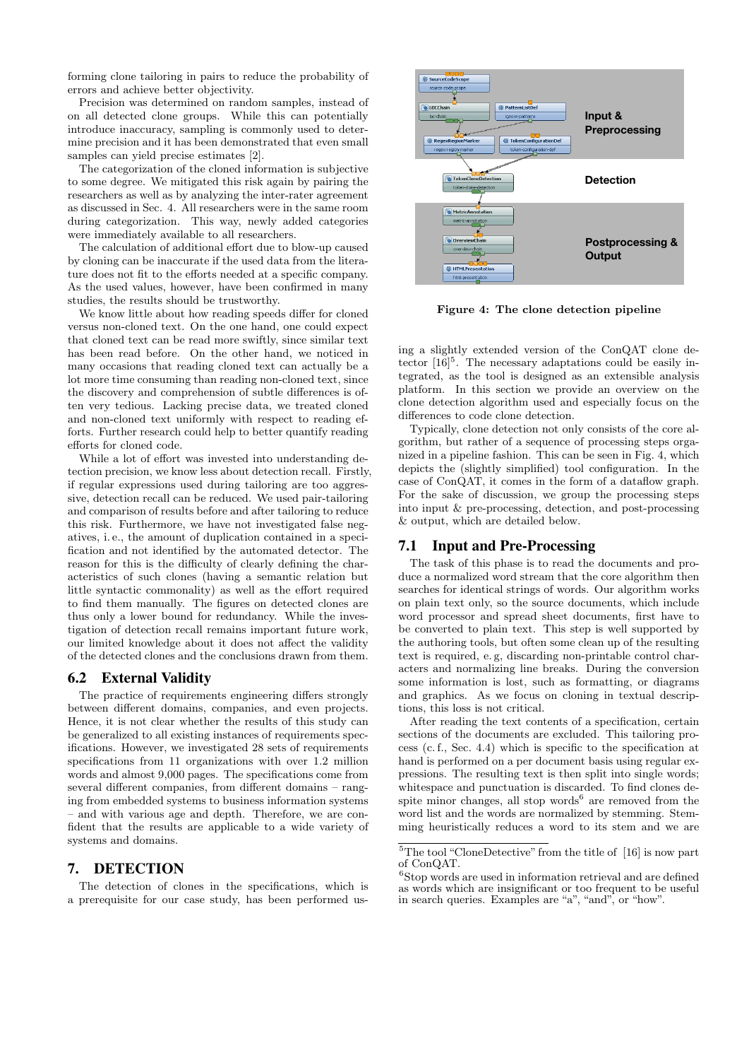forming clone tailoring in pairs to reduce the probability of errors and achieve better objectivity.

Precision was determined on random samples, instead of on all detected clone groups. While this can potentially introduce inaccuracy, sampling is commonly used to determine precision and it has been demonstrated that even small samples can yield precise estimates [2].

The categorization of the cloned information is subjective to some degree. We mitigated this risk again by pairing the researchers as well as by analyzing the inter-rater agreement as discussed in Sec. 4. All researchers were in the same room during categorization. This way, newly added categories were immediately available to all researchers.

The calculation of additional effort due to blow-up caused by cloning can be inaccurate if the used data from the literature does not fit to the efforts needed at a specific company. As the used values, however, have been confirmed in many studies, the results should be trustworthy.

We know little about how reading speeds differ for cloned versus non-cloned text. On the one hand, one could expect that cloned text can be read more swiftly, since similar text has been read before. On the other hand, we noticed in many occasions that reading cloned text can actually be a lot more time consuming than reading non-cloned text, since the discovery and comprehension of subtle differences is often very tedious. Lacking precise data, we treated cloned and non-cloned text uniformly with respect to reading efforts. Further research could help to better quantify reading efforts for cloned code.

While a lot of effort was invested into understanding detection precision, we know less about detection recall. Firstly, if regular expressions used during tailoring are too aggressive, detection recall can be reduced. We used pair-tailoring and comparison of results before and after tailoring to reduce this risk. Furthermore, we have not investigated false negatives, i. e., the amount of duplication contained in a specification and not identified by the automated detector. The reason for this is the difficulty of clearly defining the characteristics of such clones (having a semantic relation but little syntactic commonality) as well as the effort required to find them manually. The figures on detected clones are thus only a lower bound for redundancy. While the investigation of detection recall remains important future work, our limited knowledge about it does not affect the validity of the detected clones and the conclusions drawn from them.

## 6.2 External Validity

The practice of requirements engineering differs strongly between different domains, companies, and even projects. Hence, it is not clear whether the results of this study can be generalized to all existing instances of requirements specifications. However, we investigated 28 sets of requirements specifications from 11 organizations with over 1.2 million words and almost 9,000 pages. The specifications come from several different companies, from different domains – ranging from embedded systems to business information systems – and with various age and depth. Therefore, we are confident that the results are applicable to a wide variety of systems and domains.

## 7. DETECTION

The detection of clones in the specifications, which is a prerequisite for our case study, has been performed us-



Figure 4: The clone detection pipeline

ing a slightly extended version of the ConQAT clone detector  $[16]$ <sup>5</sup>. The necessary adaptations could be easily integrated, as the tool is designed as an extensible analysis platform. In this section we provide an overview on the clone detection algorithm used and especially focus on the differences to code clone detection.

Typically, clone detection not only consists of the core algorithm, but rather of a sequence of processing steps organized in a pipeline fashion. This can be seen in Fig. 4, which depicts the (slightly simplified) tool configuration. In the case of ConQAT, it comes in the form of a dataflow graph. For the sake of discussion, we group the processing steps into input & pre-processing, detection, and post-processing & output, which are detailed below.

## 7.1 Input and Pre-Processing

The task of this phase is to read the documents and produce a normalized word stream that the core algorithm then searches for identical strings of words. Our algorithm works on plain text only, so the source documents, which include word processor and spread sheet documents, first have to be converted to plain text. This step is well supported by the authoring tools, but often some clean up of the resulting text is required, e. g, discarding non-printable control characters and normalizing line breaks. During the conversion some information is lost, such as formatting, or diagrams and graphics. As we focus on cloning in textual descriptions, this loss is not critical.

After reading the text contents of a specification, certain sections of the documents are excluded. This tailoring process (c. f., Sec. 4.4) which is specific to the specification at hand is performed on a per document basis using regular expressions. The resulting text is then split into single words; whitespace and punctuation is discarded. To find clones despite minor changes, all stop words<sup>6</sup> are removed from the word list and the words are normalized by stemming. Stemming heuristically reduces a word to its stem and we are

 ${}^{5}$ The tool "CloneDetective" from the title of [16] is now part of ConQAT.

<sup>&</sup>lt;sup>6</sup>Stop words are used in information retrieval and are defined as words which are insignificant or too frequent to be useful in search queries. Examples are "a", "and", or "how".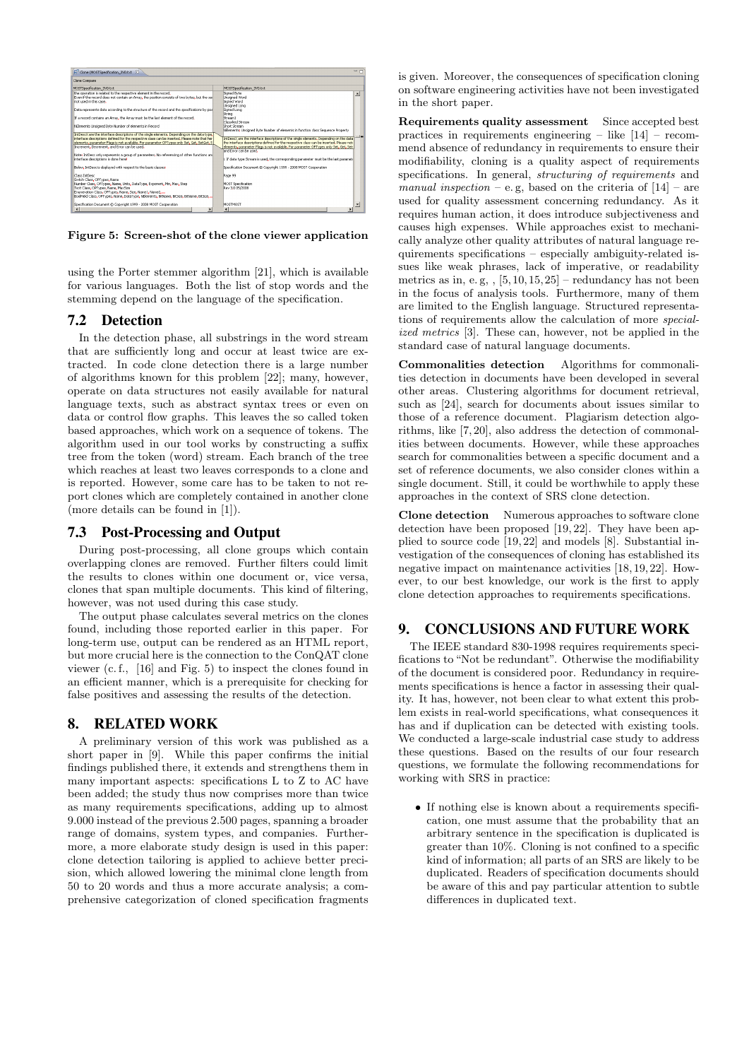

Figure 5: Screen-shot of the clone viewer application

using the Porter stemmer algorithm [21], which is available for various languages. Both the list of stop words and the stemming depend on the language of the specification.

# 7.2 Detection

In the detection phase, all substrings in the word stream that are sufficiently long and occur at least twice are extracted. In code clone detection there is a large number of algorithms known for this problem [22]; many, however, operate on data structures not easily available for natural language texts, such as abstract syntax trees or even on data or control flow graphs. This leaves the so called token based approaches, which work on a sequence of tokens. The algorithm used in our tool works by constructing a suffix tree from the token (word) stream. Each branch of the tree which reaches at least two leaves corresponds to a clone and is reported. However, some care has to be taken to not report clones which are completely contained in another clone (more details can be found in [1]).

# 7.3 Post-Processing and Output

During post-processing, all clone groups which contain overlapping clones are removed. Further filters could limit the results to clones within one document or, vice versa, clones that span multiple documents. This kind of filtering, however, was not used during this case study.

The output phase calculates several metrics on the clones found, including those reported earlier in this paper. For long-term use, output can be rendered as an HTML report, but more crucial here is the connection to the ConQAT clone viewer (c. f., [16] and Fig. 5) to inspect the clones found in an efficient manner, which is a prerequisite for checking for false positives and assessing the results of the detection.

# 8. RELATED WORK

A preliminary version of this work was published as a short paper in [9]. While this paper confirms the initial findings published there, it extends and strengthens them in many important aspects: specifications L to Z to AC have been added; the study thus now comprises more than twice as many requirements specifications, adding up to almost 9.000 instead of the previous 2.500 pages, spanning a broader range of domains, system types, and companies. Furthermore, a more elaborate study design is used in this paper: clone detection tailoring is applied to achieve better precision, which allowed lowering the minimal clone length from 50 to 20 words and thus a more accurate analysis; a comprehensive categorization of cloned specification fragments

is given. Moreover, the consequences of specification cloning on software engineering activities have not been investigated in the short paper.

Requirements quality assessment Since accepted best practices in requirements engineering – like [14] – recommend absence of redundancy in requirements to ensure their modifiability, cloning is a quality aspect of requirements specifications. In general, *structuring of requirements* and manual inspection – e.g, based on the criteria of  $[14]$  – are used for quality assessment concerning redundancy. As it requires human action, it does introduce subjectiveness and causes high expenses. While approaches exist to mechanically analyze other quality attributes of natural language requirements specifications – especially ambiguity-related issues like weak phrases, lack of imperative, or readability metrics as in, e.g,  $, [5, 10, 15, 25]$  – redundancy has not been in the focus of analysis tools. Furthermore, many of them are limited to the English language. Structured representations of requirements allow the calculation of more specialized metrics [3]. These can, however, not be applied in the standard case of natural language documents.

Commonalities detection Algorithms for commonalities detection in documents have been developed in several other areas. Clustering algorithms for document retrieval, such as [24], search for documents about issues similar to those of a reference document. Plagiarism detection algorithms, like [7, 20], also address the detection of commonalities between documents. However, while these approaches search for commonalities between a specific document and a set of reference documents, we also consider clones within a single document. Still, it could be worthwhile to apply these approaches in the context of SRS clone detection.

Clone detection Numerous approaches to software clone detection have been proposed [19, 22]. They have been applied to source code [19, 22] and models [8]. Substantial investigation of the consequences of cloning has established its negative impact on maintenance activities [18, 19, 22]. However, to our best knowledge, our work is the first to apply clone detection approaches to requirements specifications.

# 9. CONCLUSIONS AND FUTURE WORK

The IEEE standard 830-1998 requires requirements specifications to "Not be redundant". Otherwise the modifiability of the document is considered poor. Redundancy in requirements specifications is hence a factor in assessing their quality. It has, however, not been clear to what extent this problem exists in real-world specifications, what consequences it has and if duplication can be detected with existing tools. We conducted a large-scale industrial case study to address these questions. Based on the results of our four research questions, we formulate the following recommendations for working with SRS in practice:

• If nothing else is known about a requirements specification, one must assume that the probability that an arbitrary sentence in the specification is duplicated is greater than 10%. Cloning is not confined to a specific kind of information; all parts of an SRS are likely to be duplicated. Readers of specification documents should be aware of this and pay particular attention to subtle differences in duplicated text.